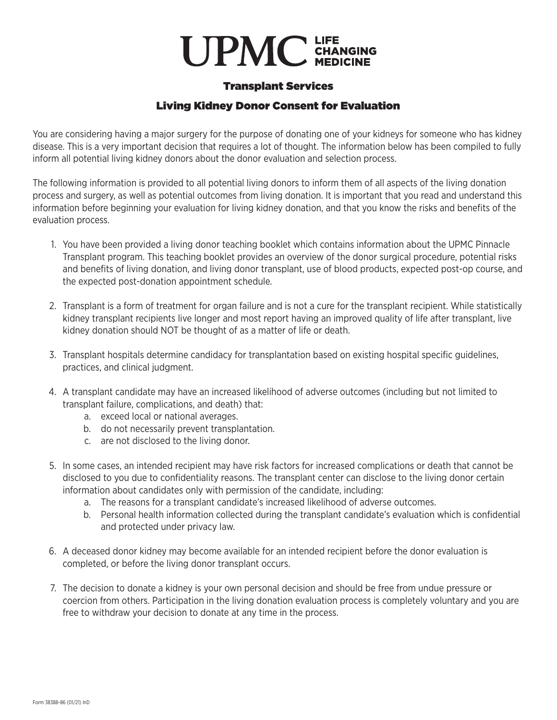## **UPMC** CHANGING

## Transplant Services

## Living Kidney Donor Consent for Evaluation

You are considering having a major surgery for the purpose of donating one of your kidneys for someone who has kidney disease. This is a very important decision that requires a lot of thought. The information below has been compiled to fully inform all potential living kidney donors about the donor evaluation and selection process.

The following information is provided to all potential living donors to inform them of all aspects of the living donation process and surgery, as well as potential outcomes from living donation. It is important that you read and understand this information before beginning your evaluation for living kidney donation, and that you know the risks and benefits of the evaluation process.

- 1. You have been provided a living donor teaching booklet which contains information about the UPMC Pinnacle Transplant program. This teaching booklet provides an overview of the donor surgical procedure, potential risks and benefits of living donation, and living donor transplant, use of blood products, expected post-op course, and the expected post-donation appointment schedule.
- 2. Transplant is a form of treatment for organ failure and is not a cure for the transplant recipient. While statistically kidney transplant recipients live longer and most report having an improved quality of life after transplant, live kidney donation should NOT be thought of as a matter of life or death.
- 3. Transplant hospitals determine candidacy for transplantation based on existing hospital specific guidelines, practices, and clinical judgment.
- 4. A transplant candidate may have an increased likelihood of adverse outcomes (including but not limited to transplant failure, complications, and death) that:
	- a. exceed local or national averages.
	- b. do not necessarily prevent transplantation.
	- c. are not disclosed to the living donor.
- 5. In some cases, an intended recipient may have risk factors for increased complications or death that cannot be disclosed to you due to confidentiality reasons. The transplant center can disclose to the living donor certain information about candidates only with permission of the candidate, including:
	- a. The reasons for a transplant candidate's increased likelihood of adverse outcomes.
	- b. Personal health information collected during the transplant candidate's evaluation which is confidential and protected under privacy law.
- 6. A deceased donor kidney may become available for an intended recipient before the donor evaluation is completed, or before the living donor transplant occurs.
- 7. The decision to donate a kidney is your own personal decision and should be free from undue pressure or coercion from others. Participation in the living donation evaluation process is completely voluntary and you are free to withdraw your decision to donate at any time in the process.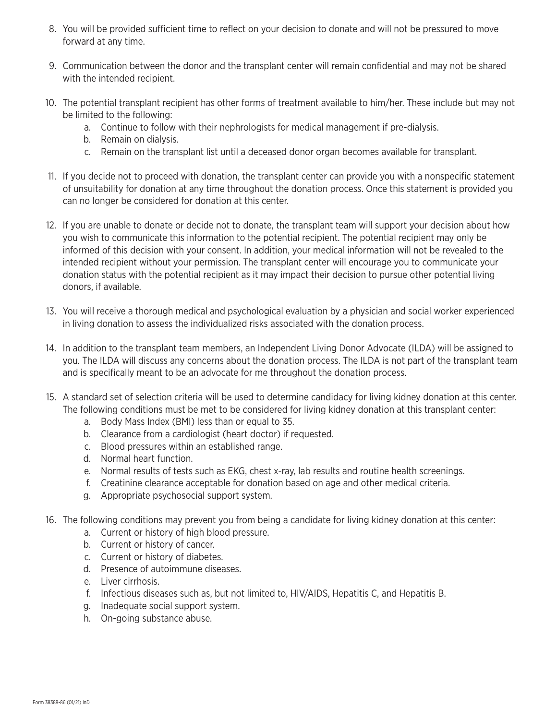- 8. You will be provided sufficient time to reflect on your decision to donate and will not be pressured to move forward at any time.
- 9. Communication between the donor and the transplant center will remain confidential and may not be shared with the intended recipient.
- 10. The potential transplant recipient has other forms of treatment available to him/her. These include but may not be limited to the following:
	- a. Continue to follow with their nephrologists for medical management if pre-dialysis.
	- b. Remain on dialysis.
	- c. Remain on the transplant list until a deceased donor organ becomes available for transplant.
- 11. If you decide not to proceed with donation, the transplant center can provide you with a nonspecific statement of unsuitability for donation at any time throughout the donation process. Once this statement is provided you can no longer be considered for donation at this center.
- 12. If you are unable to donate or decide not to donate, the transplant team will support your decision about how you wish to communicate this information to the potential recipient. The potential recipient may only be informed of this decision with your consent. In addition, your medical information will not be revealed to the intended recipient without your permission. The transplant center will encourage you to communicate your donation status with the potential recipient as it may impact their decision to pursue other potential living donors, if available.
- 13. You will receive a thorough medical and psychological evaluation by a physician and social worker experienced in living donation to assess the individualized risks associated with the donation process.
- 14. In addition to the transplant team members, an Independent Living Donor Advocate (ILDA) will be assigned to you. The ILDA will discuss any concerns about the donation process. The ILDA is not part of the transplant team and is specifically meant to be an advocate for me throughout the donation process.
- 15. A standard set of selection criteria will be used to determine candidacy for living kidney donation at this center. The following conditions must be met to be considered for living kidney donation at this transplant center:
	- a. Body Mass Index (BMI) less than or equal to 35.
	- b. Clearance from a cardiologist (heart doctor) if requested.
	- c. Blood pressures within an established range.
	- d. Normal heart function.
	- e. Normal results of tests such as EKG, chest x-ray, lab results and routine health screenings.
	- f. Creatinine clearance acceptable for donation based on age and other medical criteria.
	- g. Appropriate psychosocial support system.
- 16. The following conditions may prevent you from being a candidate for living kidney donation at this center:
	- a. Current or history of high blood pressure.
	- b. Current or history of cancer.
	- c. Current or history of diabetes.
	- d. Presence of autoimmune diseases.
	- e. Liver cirrhosis.
	- f. Infectious diseases such as, but not limited to, HIV/AIDS, Hepatitis C, and Hepatitis B.
	- g. Inadequate social support system.
	- h. On-going substance abuse.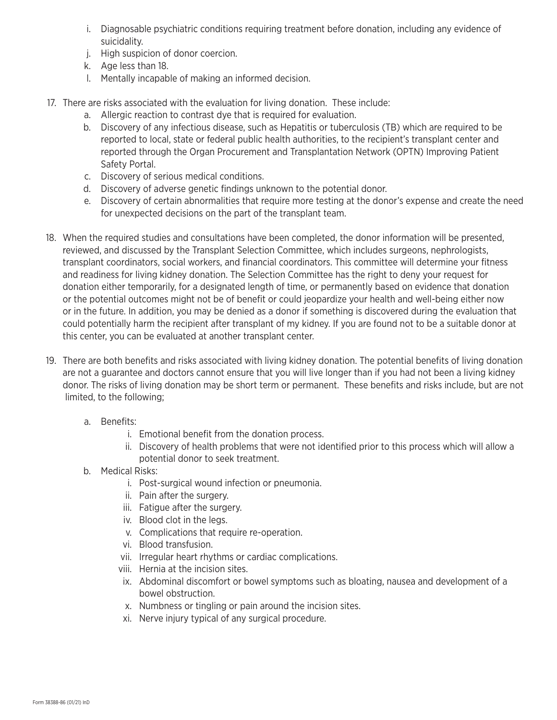- i. Diagnosable psychiatric conditions requiring treatment before donation, including any evidence of suicidality.
- j. High suspicion of donor coercion.
- k. Age less than 18.
- l. Mentally incapable of making an informed decision.
- 17. There are risks associated with the evaluation for living donation. These include:
	- a. Allergic reaction to contrast dye that is required for evaluation.
	- b. Discovery of any infectious disease, such as Hepatitis or tuberculosis (TB) which are required to be reported to local, state or federal public health authorities, to the recipient's transplant center and reported through the Organ Procurement and Transplantation Network (OPTN) Improving Patient Safety Portal.
	- c. Discovery of serious medical conditions.
	- d. Discovery of adverse genetic findings unknown to the potential donor.
	- e. Discovery of certain abnormalities that require more testing at the donor's expense and create the need for unexpected decisions on the part of the transplant team.
- 18. When the required studies and consultations have been completed, the donor information will be presented, reviewed, and discussed by the Transplant Selection Committee, which includes surgeons, nephrologists, transplant coordinators, social workers, and financial coordinators. This committee will determine your fitness and readiness for living kidney donation. The Selection Committee has the right to deny your request for donation either temporarily, for a designated length of time, or permanently based on evidence that donation or the potential outcomes might not be of benefit or could jeopardize your health and well-being either now or in the future. In addition, you may be denied as a donor if something is discovered during the evaluation that could potentially harm the recipient after transplant of my kidney. If you are found not to be a suitable donor at this center, you can be evaluated at another transplant center.
- 19. There are both benefits and risks associated with living kidney donation. The potential benefits of living donation are not a guarantee and doctors cannot ensure that you will live longer than if you had not been a living kidney donor. The risks of living donation may be short term or permanent. These benefits and risks include, but are not limited, to the following;
	- a. Benefits:
		- i. Emotional benefit from the donation process.
		- ii. Discovery of health problems that were not identified prior to this process which will allow a potential donor to seek treatment.
	- b. Medical Risks:
		- i. Post-surgical wound infection or pneumonia.
		- ii. Pain after the surgery.
		- iii. Fatigue after the surgery.
		- iv. Blood clot in the legs.
		- v. Complications that require re-operation.
		- vi. Blood transfusion.
		- vii. Irregular heart rhythms or cardiac complications.
		- viii. Hernia at the incision sites.
		- ix. Abdominal discomfort or bowel symptoms such as bloating, nausea and development of a bowel obstruction.
		- x. Numbness or tingling or pain around the incision sites.
		- xi. Nerve injury typical of any surgical procedure.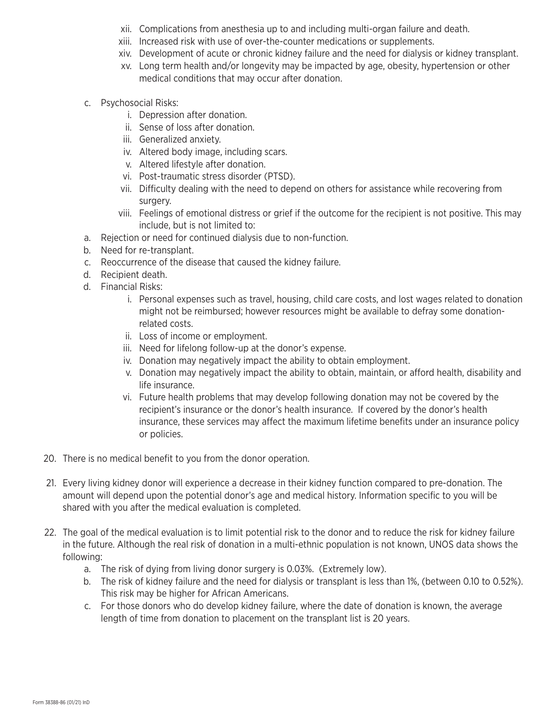- xii. Complications from anesthesia up to and including multi-organ failure and death.
- xiii. Increased risk with use of over-the-counter medications or supplements.
- xiv. Development of acute or chronic kidney failure and the need for dialysis or kidney transplant.
- xv. Long term health and/or longevity may be impacted by age, obesity, hypertension or other medical conditions that may occur after donation.
- c. Psychosocial Risks:
	- i. Depression after donation.
	- ii. Sense of loss after donation.
	- iii. Generalized anxiety.
	- iv. Altered body image, including scars.
	- v. Altered lifestyle after donation.
	- vi. Post-traumatic stress disorder (PTSD).
	- vii. Difficulty dealing with the need to depend on others for assistance while recovering from surgery.
	- viii. Feelings of emotional distress or grief if the outcome for the recipient is not positive. This may include, but is not limited to:
- a. Rejection or need for continued dialysis due to non-function.
- b. Need for re-transplant.
- c. Reoccurrence of the disease that caused the kidney failure.
- d. Recipient death.
- d. Financial Risks:
	- i. Personal expenses such as travel, housing, child care costs, and lost wages related to donation might not be reimbursed; however resources might be available to defray some donationrelated costs.
	- ii. Loss of income or employment.
	- iii. Need for lifelong follow-up at the donor's expense.
	- iv. Donation may negatively impact the ability to obtain employment.
	- v. Donation may negatively impact the ability to obtain, maintain, or afford health, disability and life insurance.
	- vi. Future health problems that may develop following donation may not be covered by the recipient's insurance or the donor's health insurance. If covered by the donor's health insurance, these services may affect the maximum lifetime benefits under an insurance policy or policies.
- 20. There is no medical benefit to you from the donor operation.
- 21. Every living kidney donor will experience a decrease in their kidney function compared to pre-donation. The amount will depend upon the potential donor's age and medical history. Information specific to you will be shared with you after the medical evaluation is completed.
- 22. The goal of the medical evaluation is to limit potential risk to the donor and to reduce the risk for kidney failure in the future. Although the real risk of donation in a multi-ethnic population is not known, UNOS data shows the following:
	- a. The risk of dying from living donor surgery is 0.03%. (Extremely low).
	- b. The risk of kidney failure and the need for dialysis or transplant is less than 1%, (between 0.10 to 0.52%). This risk may be higher for African Americans.
	- c. For those donors who do develop kidney failure, where the date of donation is known, the average length of time from donation to placement on the transplant list is 20 years.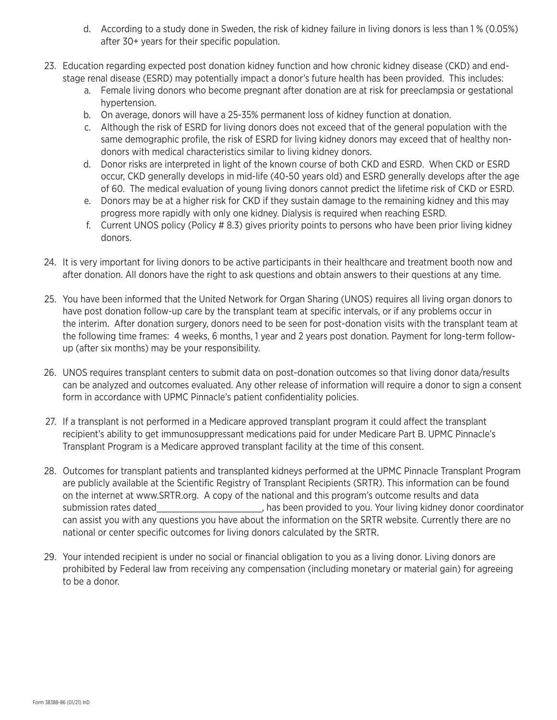- d. According to a study done in Sweden, the risk of kidney failure in living donors is less than 1 % (0.05%) after 30+ years for their specific population.
- 23. Education regarding expected post donation kidney function and how chronic kidney disease (CKD) and end stage renal disease (ESRD) may potentially impact a donor's future health has been provided. This includes:
	- a. Female living donors who become pregnant after donation are at risk for preeclampsia or gestational hypertension.
	- b. On average, donors will have a 25-35% permanent loss of kidney function at donation.
	- c. Although the risk of ESRD for living donors does not exceed that of the general population with the same demographic profile, the risk of ESRD for living kidney donors may exceed that of healthy non donors with medical characteristics similar to living kidney donors.
	- d. Donor risks are interpreted in light of the known course of both CKD and ESRD. When CKD or ESRD occur, CKD generally develops in mid-life (40-50 years old) and ESRD generally develops after the age of 60. The medical evaluation of young living donors cannot predict the lifetime risk of CKD or ESRD.
	- e. Donors may be at a higher risk for CKD if they sustain damage to the remaining kidney and this may progress more rapidly with only one kidney. Dialysis is required when reaching ESRD.
	- f. Current UNOS policy (Policy # 8.3) gives priority points to persons who have been prior living kidney donors.
- 24. It is very important for living donors to be active participants in their healthcare and treatment booth now and after donation. All donors have the right to ask questions and obtain answers to their questions at any time.
- 25. You have been informed that the United Network for Organ Sharing (UNOS) requires all living organ donors to have post donation follow-up care by the transplant team at specific intervals, or if any problems occur in the interim. After donation surgery, donors need to be seen for post-donation visits with the transplant team at the following time frames: 4 weeks, 6 months, 1 year and 2 years post donation. Payment for long-term follow up (after six months) may be your responsibility.
- 26. UNOS requires transplant centers to submit data on post-donation outcomes so that living donor data/results can be analyzed and outcomes evaluated. Any other release of information will require a donor to sign a consent form in accordance with UPMC Pinnacle's patient confidentiality policies.
- 27. If a transplant is not performed in a Medicare approved transplant program it could affect the transplant recipient's ability to get immunosuppressant medications paid for under Medicare Part B. UPMC Pinnacle's Transplant Program is a Medicare approved transplant facility at the time of this consent.
- 28. Outcomes for transplant patients and transplanted kidneys performed at the UPMC Pinnacle Transplant Program are publicly available at the Scientific Registry of Transplant Recipients (SRTR). This information can be found on the internet at www.SRTR.org. A copy of the national and this program's outcome results and data submission rates dated\_\_\_\_\_\_\_\_\_\_\_\_\_\_\_\_\_\_\_\_\_\_, has been provided to you. Your living kidney donor coordinator can assist you with any questions you have about the information on the SRTR website. Currently there are no national or center specific outcomes for living donors calculated by the SRTR.
- 29. Your intended recipient is under no social or financial obligation to you as a living donor. Living donors are prohibited by Federal law from receiving any compensation (including monetary or material gain) for agreeing to be a donor.